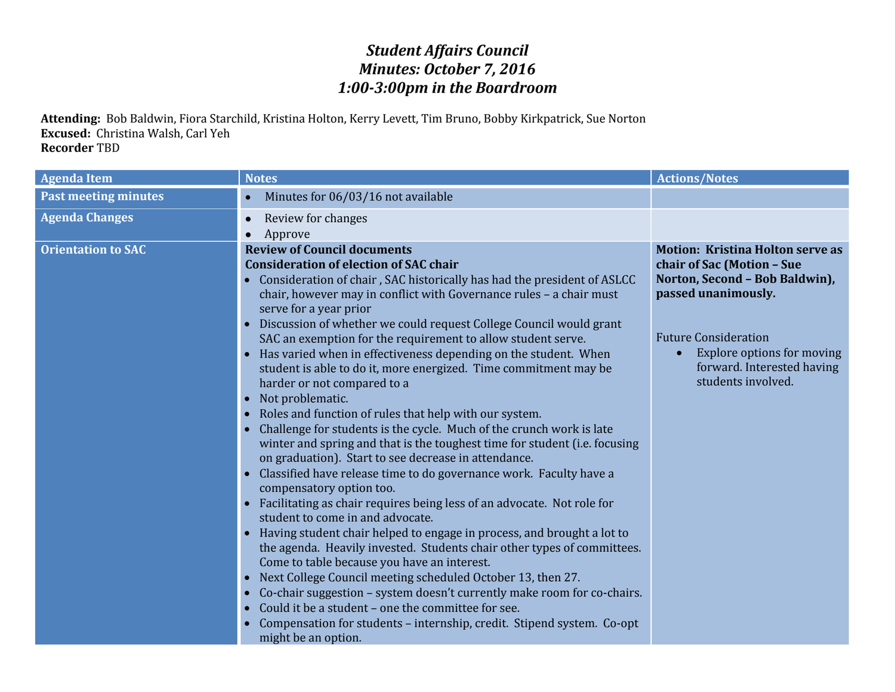## *Student Affairs Council Minutes: October 7, 2016 1:00-3:00pm in the Boardroom*

**Attending:** Bob Baldwin, Fiora Starchild, Kristina Holton, Kerry Levett, Tim Bruno, Bobby Kirkpatrick, Sue Norton **Excused:** Christina Walsh, Carl Yeh **Recorder** TBD

| <b>Agenda Item</b>          | <b>Notes</b>                                                                                                                                                                                                                                                                                                                                                                                                                                                                                                                                                                                                                                                                                                                                                                                                                                                                                                                                                                                                                                                                                                                                                                                                                                                                                                                                                                                                                                                                                                                                                                                                                                                                                                                                | <b>Actions/Notes</b>                                                                                                                                                                                                                            |
|-----------------------------|---------------------------------------------------------------------------------------------------------------------------------------------------------------------------------------------------------------------------------------------------------------------------------------------------------------------------------------------------------------------------------------------------------------------------------------------------------------------------------------------------------------------------------------------------------------------------------------------------------------------------------------------------------------------------------------------------------------------------------------------------------------------------------------------------------------------------------------------------------------------------------------------------------------------------------------------------------------------------------------------------------------------------------------------------------------------------------------------------------------------------------------------------------------------------------------------------------------------------------------------------------------------------------------------------------------------------------------------------------------------------------------------------------------------------------------------------------------------------------------------------------------------------------------------------------------------------------------------------------------------------------------------------------------------------------------------------------------------------------------------|-------------------------------------------------------------------------------------------------------------------------------------------------------------------------------------------------------------------------------------------------|
| <b>Past meeting minutes</b> | Minutes for 06/03/16 not available                                                                                                                                                                                                                                                                                                                                                                                                                                                                                                                                                                                                                                                                                                                                                                                                                                                                                                                                                                                                                                                                                                                                                                                                                                                                                                                                                                                                                                                                                                                                                                                                                                                                                                          |                                                                                                                                                                                                                                                 |
| <b>Agenda Changes</b>       | Review for changes<br>Approve                                                                                                                                                                                                                                                                                                                                                                                                                                                                                                                                                                                                                                                                                                                                                                                                                                                                                                                                                                                                                                                                                                                                                                                                                                                                                                                                                                                                                                                                                                                                                                                                                                                                                                               |                                                                                                                                                                                                                                                 |
| <b>Orientation to SAC</b>   | <b>Review of Council documents</b><br><b>Consideration of election of SAC chair</b><br>Consideration of chair, SAC historically has had the president of ASLCC<br>$\bullet$<br>chair, however may in conflict with Governance rules - a chair must<br>serve for a year prior<br>Discussion of whether we could request College Council would grant<br>$\bullet$<br>SAC an exemption for the requirement to allow student serve.<br>Has varied when in effectiveness depending on the student. When<br>$\bullet$<br>student is able to do it, more energized. Time commitment may be<br>harder or not compared to a<br>Not problematic.<br>$\bullet$<br>Roles and function of rules that help with our system.<br>$\bullet$<br>Challenge for students is the cycle. Much of the crunch work is late<br>$\bullet$<br>winter and spring and that is the toughest time for student (i.e. focusing<br>on graduation). Start to see decrease in attendance.<br>Classified have release time to do governance work. Faculty have a<br>$\bullet$<br>compensatory option too.<br>Facilitating as chair requires being less of an advocate. Not role for<br>$\bullet$<br>student to come in and advocate.<br>Having student chair helped to engage in process, and brought a lot to<br>the agenda. Heavily invested. Students chair other types of committees.<br>Come to table because you have an interest.<br>Next College Council meeting scheduled October 13, then 27.<br>$\bullet$<br>Co-chair suggestion - system doesn't currently make room for co-chairs.<br>$\bullet$<br>Could it be a student - one the committee for see.<br>$\bullet$<br>Compensation for students - internship, credit. Stipend system. Co-opt<br>might be an option. | <b>Motion: Kristina Holton serve as</b><br>chair of Sac (Motion - Sue<br>Norton, Second - Bob Baldwin),<br>passed unanimously.<br><b>Future Consideration</b><br>Explore options for moving<br>forward. Interested having<br>students involved. |